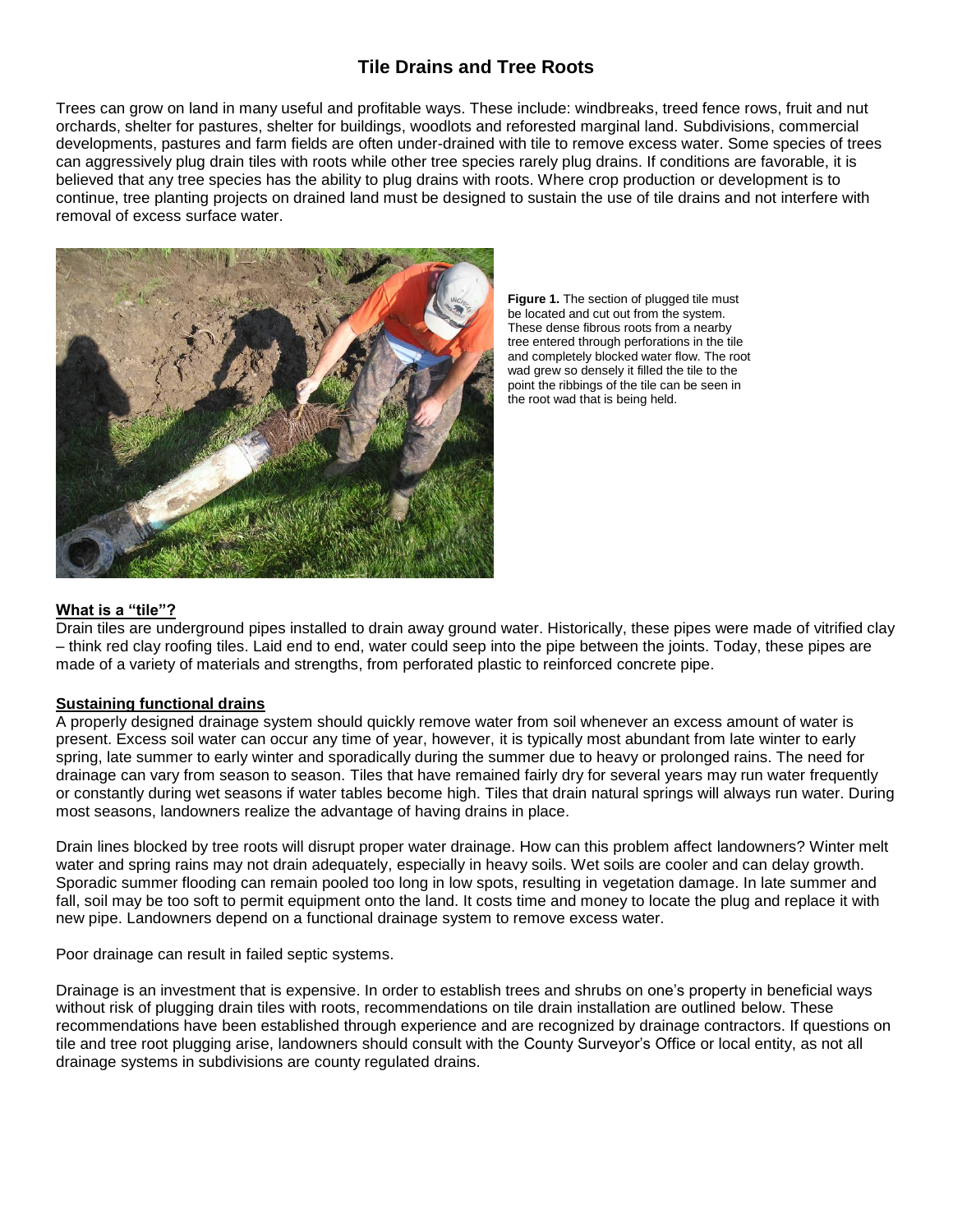# **Tile Drains and Tree Roots**

Trees can grow on land in many useful and profitable ways. These include: windbreaks, treed fence rows, fruit and nut orchards, shelter for pastures, shelter for buildings, woodlots and reforested marginal land. Subdivisions, commercial developments, pastures and farm fields are often under-drained with tile to remove excess water. Some species of trees can aggressively plug drain tiles with roots while other tree species rarely plug drains. If conditions are favorable, it is believed that any tree species has the ability to plug drains with roots. Where crop production or development is to continue, tree planting projects on drained land must be designed to sustain the use of tile drains and not interfere with removal of excess surface water.



**Figure 1.** The section of plugged tile must be located and cut out from the system. These dense fibrous roots from a nearby tree entered through perforations in the tile and completely blocked water flow. The root wad grew so densely it filled the tile to the point the ribbings of the tile can be seen in the root wad that is being held.

# **What is a "tile"?**

Drain tiles are underground pipes installed to drain away ground water. Historically, these pipes were made of vitrified clay – think red clay roofing tiles. Laid end to end, water could seep into the pipe between the joints. Today, these pipes are made of a variety of materials and strengths, from perforated plastic to reinforced concrete pipe.

# **Sustaining functional drains**

A properly designed drainage system should quickly remove water from soil whenever an excess amount of water is present. Excess soil water can occur any time of year, however, it is typically most abundant from late winter to early spring, late summer to early winter and sporadically during the summer due to heavy or prolonged rains. The need for drainage can vary from season to season. Tiles that have remained fairly dry for several years may run water frequently or constantly during wet seasons if water tables become high. Tiles that drain natural springs will always run water. During most seasons, landowners realize the advantage of having drains in place.

Drain lines blocked by tree roots will disrupt proper water drainage. How can this problem affect landowners? Winter melt water and spring rains may not drain adequately, especially in heavy soils. Wet soils are cooler and can delay growth. Sporadic summer flooding can remain pooled too long in low spots, resulting in vegetation damage. In late summer and fall, soil may be too soft to permit equipment onto the land. It costs time and money to locate the plug and replace it with new pipe. Landowners depend on a functional drainage system to remove excess water.

Poor drainage can result in failed septic systems.

Drainage is an investment that is expensive. In order to establish trees and shrubs on one's property in beneficial ways without risk of plugging drain tiles with roots, recommendations on tile drain installation are outlined below. These recommendations have been established through experience and are recognized by drainage contractors. If questions on tile and tree root plugging arise, landowners should consult with the County Surveyor's Office or local entity, as not all drainage systems in subdivisions are county regulated drains.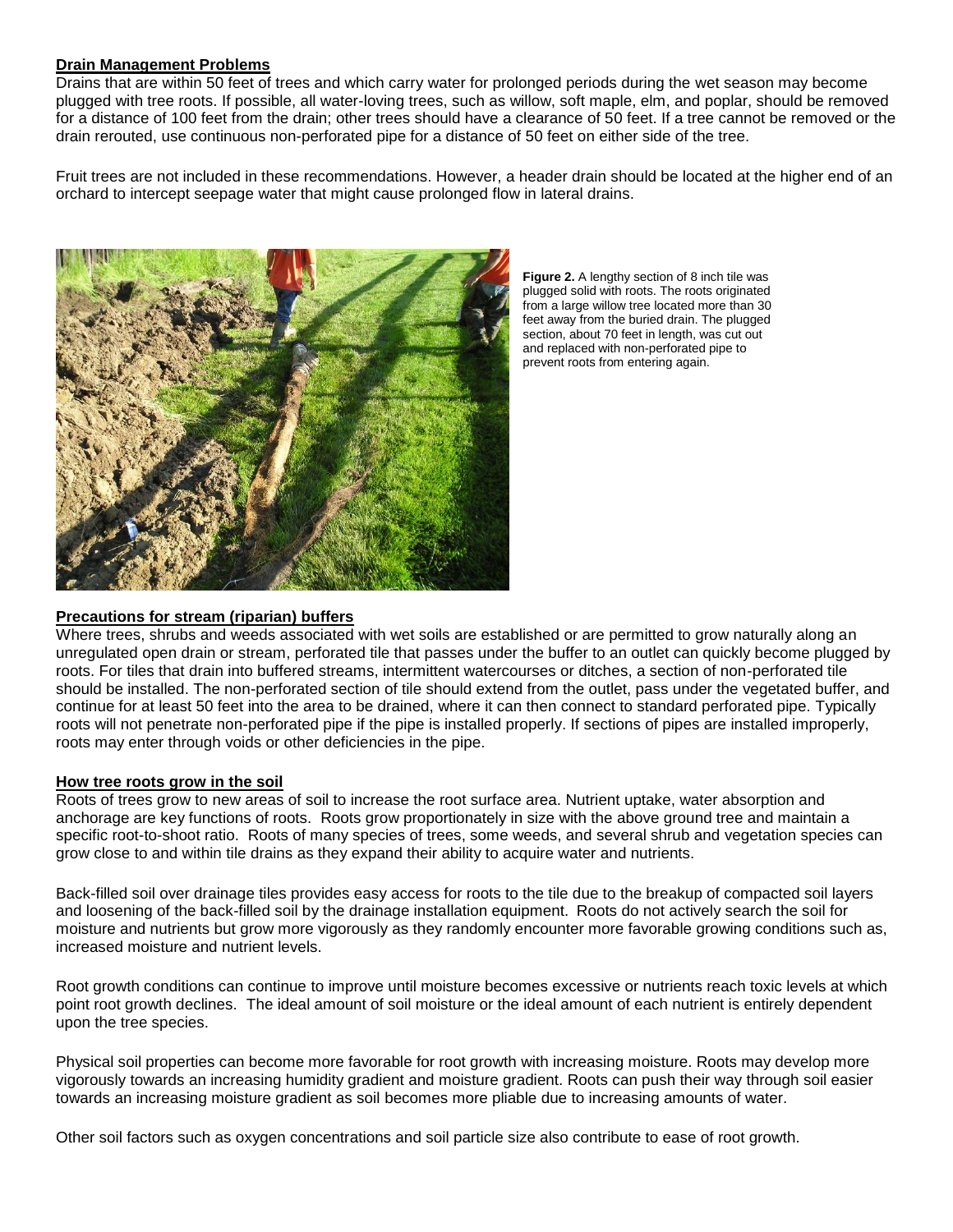# **Drain Management Problems**

Drains that are within 50 feet of trees and which carry water for prolonged periods during the wet season may become plugged with tree roots. If possible, all water-loving trees, such as willow, soft maple, elm, and poplar, should be removed for a distance of 100 feet from the drain; other trees should have a clearance of 50 feet. If a tree cannot be removed or the drain rerouted, use continuous non-perforated pipe for a distance of 50 feet on either side of the tree.

Fruit trees are not included in these recommendations. However, a header drain should be located at the higher end of an orchard to intercept seepage water that might cause prolonged flow in lateral drains.



**Figure 2.** A lengthy section of 8 inch tile was plugged solid with roots. The roots originated from a large willow tree located more than 30 feet away from the buried drain. The plugged section, about 70 feet in length, was cut out and replaced with non-perforated pipe to prevent roots from entering again.

# **Precautions for stream (riparian) buffers**

Where trees, shrubs and weeds associated with wet soils are established or are permitted to grow naturally along an unregulated open drain or stream, perforated tile that passes under the buffer to an outlet can quickly become plugged by roots. For tiles that drain into buffered streams, intermittent watercourses or ditches, a section of non-perforated tile should be installed. The non-perforated section of tile should extend from the outlet, pass under the vegetated buffer, and continue for at least 50 feet into the area to be drained, where it can then connect to standard perforated pipe. Typically roots will not penetrate non-perforated pipe if the pipe is installed properly. If sections of pipes are installed improperly, roots may enter through voids or other deficiencies in the pipe.

# **How tree roots grow in the soil**

Roots of trees grow to new areas of soil to increase the root surface area. Nutrient uptake, water absorption and anchorage are key functions of roots. Roots grow proportionately in size with the above ground tree and maintain a specific root-to-shoot ratio. Roots of many species of trees, some weeds, and several shrub and vegetation species can grow close to and within tile drains as they expand their ability to acquire water and nutrients.

Back-filled soil over drainage tiles provides easy access for roots to the tile due to the breakup of compacted soil layers and loosening of the back-filled soil by the drainage installation equipment. Roots do not actively search the soil for moisture and nutrients but grow more vigorously as they randomly encounter more favorable growing conditions such as, increased moisture and nutrient levels.

Root growth conditions can continue to improve until moisture becomes excessive or nutrients reach toxic levels at which point root growth declines. The ideal amount of soil moisture or the ideal amount of each nutrient is entirely dependent upon the tree species.

Physical soil properties can become more favorable for root growth with increasing moisture. Roots may develop more vigorously towards an increasing humidity gradient and moisture gradient. Roots can push their way through soil easier towards an increasing moisture gradient as soil becomes more pliable due to increasing amounts of water.

Other soil factors such as oxygen concentrations and soil particle size also contribute to ease of root growth.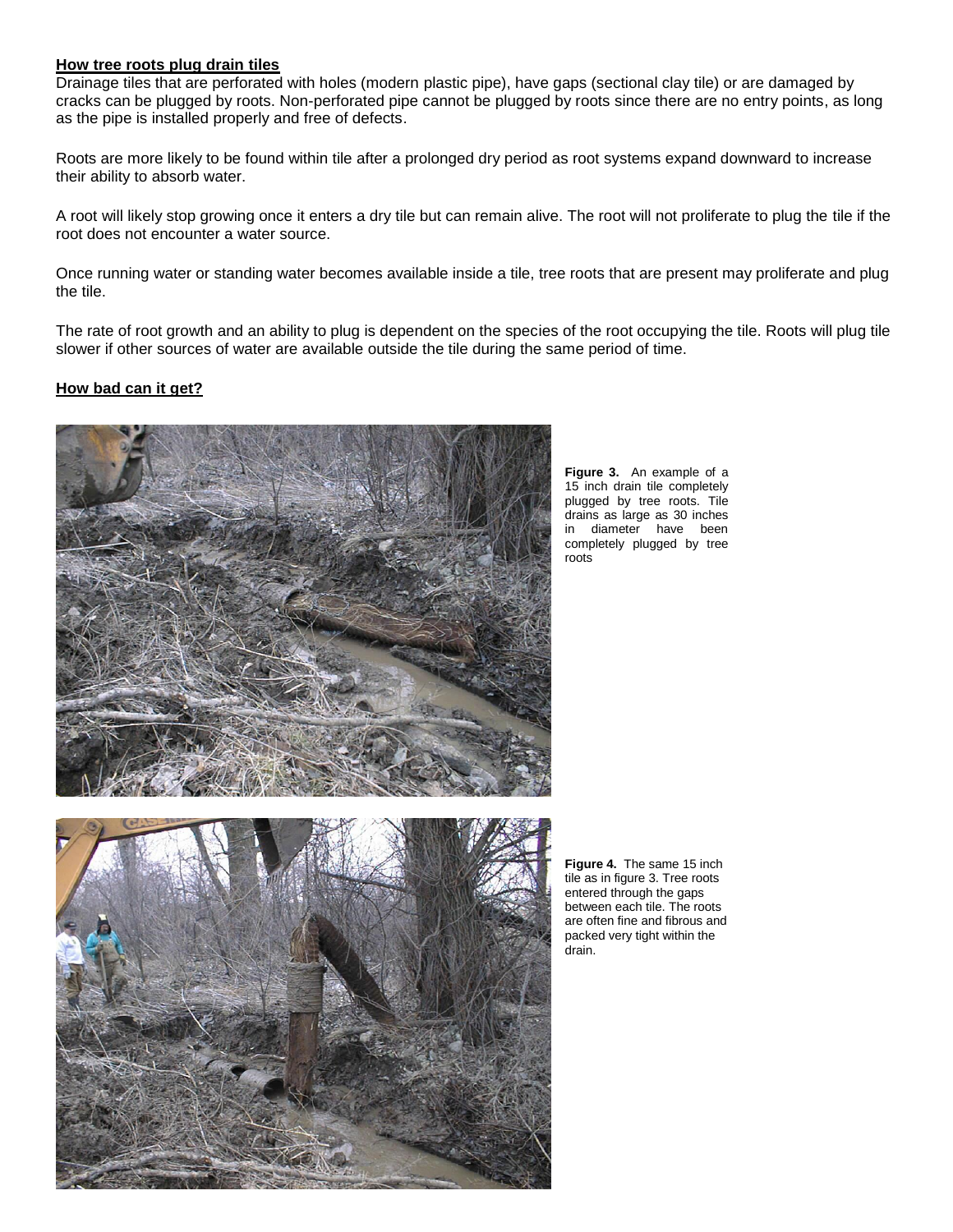#### **How tree roots plug drain tiles**

Drainage tiles that are perforated with holes (modern plastic pipe), have gaps (sectional clay tile) or are damaged by cracks can be plugged by roots. Non-perforated pipe cannot be plugged by roots since there are no entry points, as long as the pipe is installed properly and free of defects.

Roots are more likely to be found within tile after a prolonged dry period as root systems expand downward to increase their ability to absorb water.

A root will likely stop growing once it enters a dry tile but can remain alive. The root will not proliferate to plug the tile if the root does not encounter a water source.

Once running water or standing water becomes available inside a tile, tree roots that are present may proliferate and plug the tile.

The rate of root growth and an ability to plug is dependent on the species of the root occupying the tile. Roots will plug tile slower if other sources of water are available outside the tile during the same period of time.

# **How bad can it get?**



**Figure 3.** An example of a 15 inch drain tile completely plugged by tree roots. Tile drains as large as 30 inches in diameter have been completely plugged by tree roots



**Figure 4.** The same 15 inch tile as in figure 3. Tree roots entered through the gaps between each tile. The roots are often fine and fibrous and packed very tight within the drain.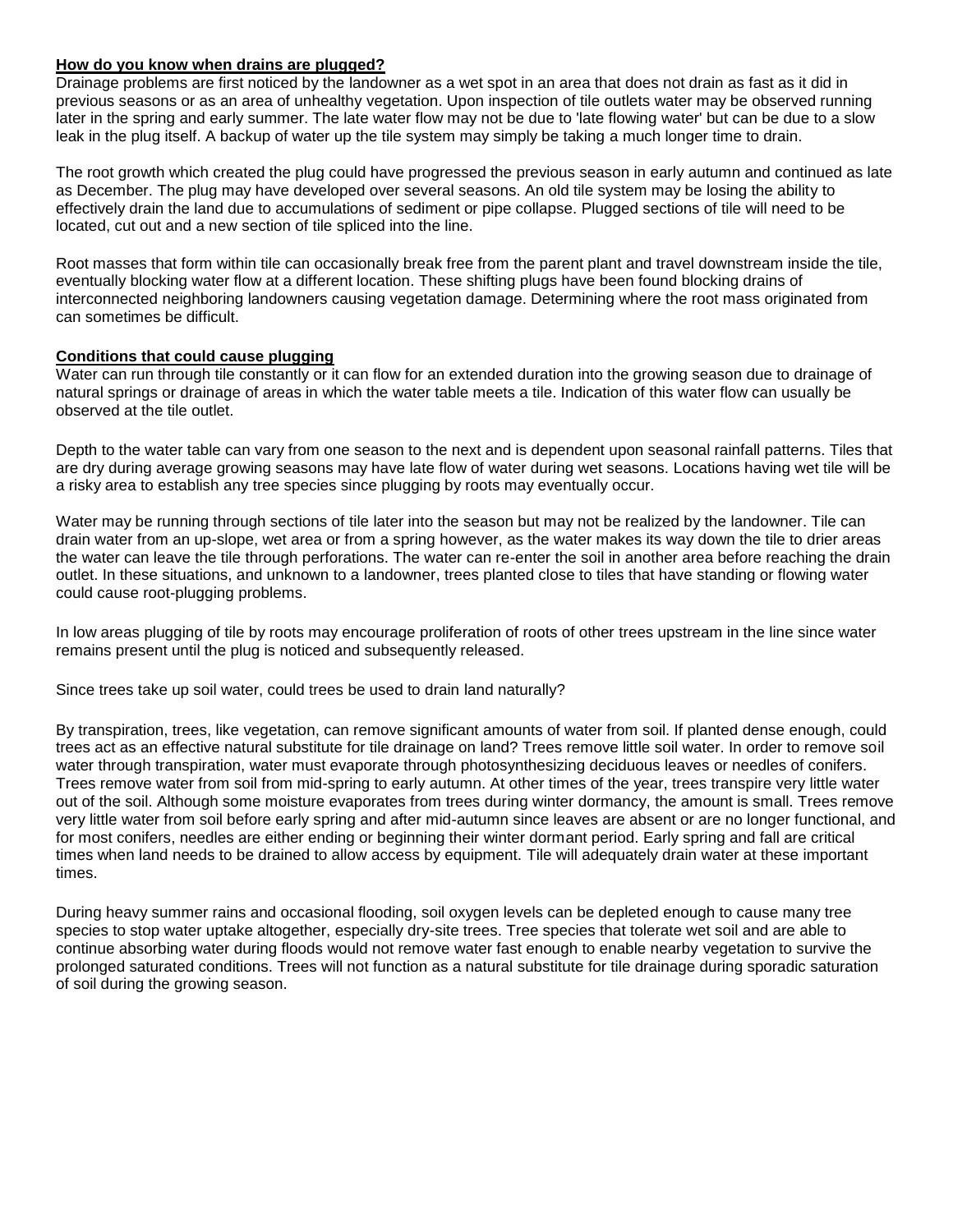# **How do you know when drains are plugged?**

Drainage problems are first noticed by the landowner as a wet spot in an area that does not drain as fast as it did in previous seasons or as an area of unhealthy vegetation. Upon inspection of tile outlets water may be observed running later in the spring and early summer. The late water flow may not be due to 'late flowing water' but can be due to a slow leak in the plug itself. A backup of water up the tile system may simply be taking a much longer time to drain.

The root growth which created the plug could have progressed the previous season in early autumn and continued as late as December. The plug may have developed over several seasons. An old tile system may be losing the ability to effectively drain the land due to accumulations of sediment or pipe collapse. Plugged sections of tile will need to be located, cut out and a new section of tile spliced into the line.

Root masses that form within tile can occasionally break free from the parent plant and travel downstream inside the tile, eventually blocking water flow at a different location. These shifting plugs have been found blocking drains of interconnected neighboring landowners causing vegetation damage. Determining where the root mass originated from can sometimes be difficult.

# **Conditions that could cause plugging**

Water can run through tile constantly or it can flow for an extended duration into the growing season due to drainage of natural springs or drainage of areas in which the water table meets a tile. Indication of this water flow can usually be observed at the tile outlet.

Depth to the water table can vary from one season to the next and is dependent upon seasonal rainfall patterns. Tiles that are dry during average growing seasons may have late flow of water during wet seasons. Locations having wet tile will be a risky area to establish any tree species since plugging by roots may eventually occur.

Water may be running through sections of tile later into the season but may not be realized by the landowner. Tile can drain water from an up-slope, wet area or from a spring however, as the water makes its way down the tile to drier areas the water can leave the tile through perforations. The water can re-enter the soil in another area before reaching the drain outlet. In these situations, and unknown to a landowner, trees planted close to tiles that have standing or flowing water could cause root-plugging problems.

In low areas plugging of tile by roots may encourage proliferation of roots of other trees upstream in the line since water remains present until the plug is noticed and subsequently released.

Since trees take up soil water, could trees be used to drain land naturally?

By transpiration, trees, like vegetation, can remove significant amounts of water from soil. If planted dense enough, could trees act as an effective natural substitute for tile drainage on land? Trees remove little soil water. In order to remove soil water through transpiration, water must evaporate through photosynthesizing deciduous leaves or needles of conifers. Trees remove water from soil from mid-spring to early autumn. At other times of the year, trees transpire very little water out of the soil. Although some moisture evaporates from trees during winter dormancy, the amount is small. Trees remove very little water from soil before early spring and after mid-autumn since leaves are absent or are no longer functional, and for most conifers, needles are either ending or beginning their winter dormant period. Early spring and fall are critical times when land needs to be drained to allow access by equipment. Tile will adequately drain water at these important times.

During heavy summer rains and occasional flooding, soil oxygen levels can be depleted enough to cause many tree species to stop water uptake altogether, especially dry-site trees. Tree species that tolerate wet soil and are able to continue absorbing water during floods would not remove water fast enough to enable nearby vegetation to survive the prolonged saturated conditions. Trees will not function as a natural substitute for tile drainage during sporadic saturation of soil during the growing season.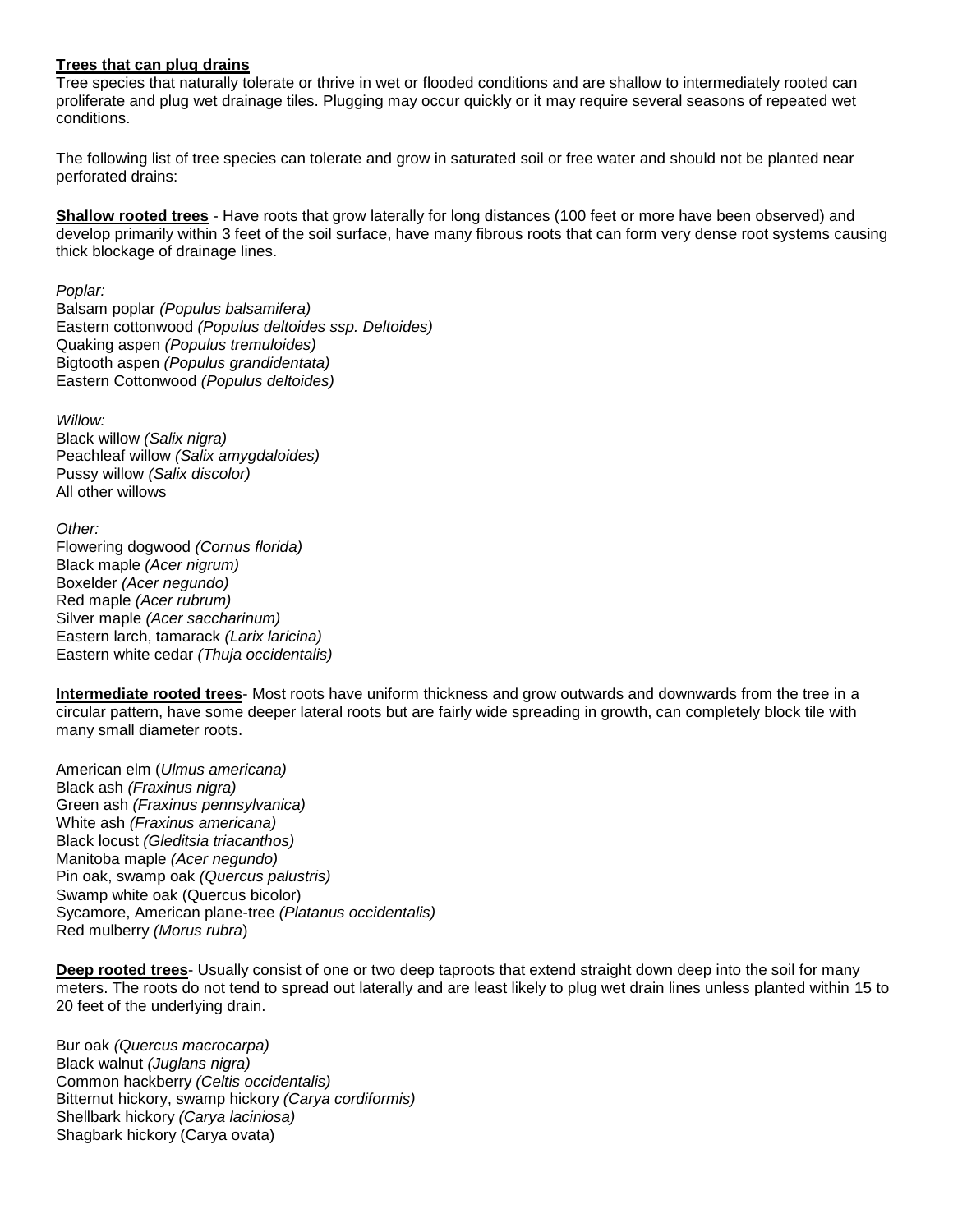# **Trees that can plug drains**

Tree species that naturally tolerate or thrive in wet or flooded conditions and are shallow to intermediately rooted can proliferate and plug wet drainage tiles. Plugging may occur quickly or it may require several seasons of repeated wet conditions.

The following list of tree species can tolerate and grow in saturated soil or free water and should not be planted near perforated drains:

**Shallow rooted trees** - Have roots that grow laterally for long distances (100 feet or more have been observed) and develop primarily within 3 feet of the soil surface, have many fibrous roots that can form very dense root systems causing thick blockage of drainage lines.

*Poplar:*

Balsam poplar *(Populus balsamifera)* Eastern cottonwood *(Populus deltoides ssp. Deltoides)* Quaking aspen *(Populus tremuloides)* Bigtooth aspen *(Populus grandidentata)* Eastern Cottonwood *(Populus deltoides)*

*Willow:* Black willow *(Salix nigra)* Peachleaf willow *(Salix amygdaloides)* Pussy willow *(Salix discolor)* All other willows

*Other:* Flowering dogwood *(Cornus florida)* Black maple *(Acer nigrum)* Boxelder *(Acer negundo)* Red maple *(Acer rubrum)* Silver maple *(Acer saccharinum)* Eastern larch, tamarack *(Larix laricina)* Eastern white cedar *(Thuja occidentalis)*

**Intermediate rooted trees**- Most roots have uniform thickness and grow outwards and downwards from the tree in a circular pattern, have some deeper lateral roots but are fairly wide spreading in growth, can completely block tile with many small diameter roots.

American elm (*Ulmus americana)* Black ash *(Fraxinus nigra)* Green ash *(Fraxinus pennsylvanica)* White ash *(Fraxinus americana)* Black locust *(Gleditsia triacanthos)* Manitoba maple *(Acer negundo)* Pin oak, swamp oak *(Quercus palustris)* Swamp white oak (Quercus bicolor) Sycamore, American plane-tree *(Platanus occidentalis)* Red mulberry *(Morus rubra*)

**Deep rooted trees**- Usually consist of one or two deep taproots that extend straight down deep into the soil for many meters. The roots do not tend to spread out laterally and are least likely to plug wet drain lines unless planted within 15 to 20 feet of the underlying drain.

Bur oak *(Quercus macrocarpa)* Black walnut *(Juglans nigra)* Common hackberry *(Celtis occidentalis)* Bitternut hickory, swamp hickory *(Carya cordiformis)* Shellbark hickory *(Carya laciniosa)* Shagbark hickory (Carya ovata)